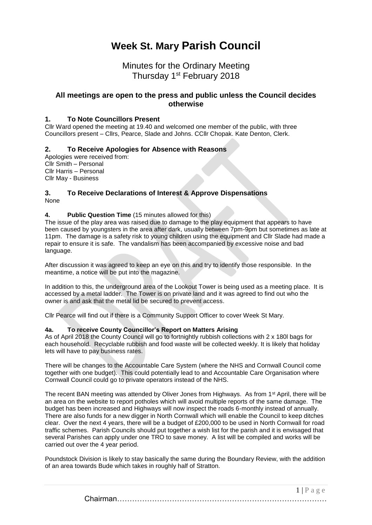# **Week St. Mary Parish Council**

# Minutes for the Ordinary Meeting Thursday 1<sup>st</sup> February 2018

# **All meetings are open to the press and public unless the Council decides otherwise**

### **1. To Note Councillors Present**

Cllr Ward opened the meeting at 19.40 and welcomed one member of the public, with three Councillors present – Cllrs, Pearce, Slade and Johns. CCllr Chopak. Kate Denton, Clerk.

#### **2. To Receive Apologies for Absence with Reasons**

Apologies were received from: Cllr Smith – Personal Cllr Harris – Personal Cllr May - Business

#### **3. To Receive Declarations of Interest & Approve Dispensations** None

#### **4. Public Question Time** (15 minutes allowed for this)

The issue of the play area was raised due to damage to the play equipment that appears to have been caused by youngsters in the area after dark, usually between 7pm-9pm but sometimes as late at 11pm. The damage is a safety risk to young children using the equipment and Cllr Slade had made a repair to ensure it is safe. The vandalism has been accompanied by excessive noise and bad language.

After discussion it was agreed to keep an eye on this and try to identify those responsible. In the meantime, a notice will be put into the magazine.

In addition to this, the underground area of the Lookout Tower is being used as a meeting place. It is accessed by a metal ladder. The Tower is on private land and it was agreed to find out who the owner is and ask that the metal lid be secured to prevent access.

Cllr Pearce will find out if there is a Community Support Officer to cover Week St Mary.

#### **4a. To receive County Councillor's Report on Matters Arising**

As of April 2018 the County Council will go to fortnightly rubbish collections with 2 x 180l bags for each household. Recyclable rubbish and food waste will be collected weekly. It is likely that holiday lets will have to pay business rates.

There will be changes to the Accountable Care System (where the NHS and Cornwall Council come together with one budget). This could potentially lead to and Accountable Care Organisation where Cornwall Council could go to private operators instead of the NHS.

The recent BAN meeting was attended by Oliver Jones from Highways. As from 1<sup>st</sup> April, there will be an area on the website to report potholes which will avoid multiple reports of the same damage. The budget has been increased and Highways will now inspect the roads 6-monthly instead of annually. There are also funds for a new digger in North Cornwall which will enable the Council to keep ditches clear. Over the next 4 years, there will be a budget of £200,000 to be used in North Cornwall for road traffic schemes. Parish Councils should put together a wish list for the parish and it is envisaged that several Parishes can apply under one TRO to save money. A list will be compiled and works will be carried out over the 4 year period.

Poundstock Division is likely to stay basically the same during the Boundary Review, with the addition of an area towards Bude which takes in roughly half of Stratton.

> $1 | P a \ge e$ Chairman…………………………………………………………………………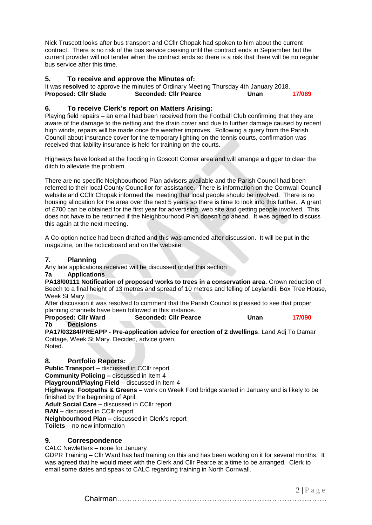Nick Truscott looks after bus transport and CCllr Chopak had spoken to him about the current contract. There is no risk of the bus service ceasing until the contract ends in September but the current provider will not tender when the contract ends so there is a risk that there will be no regular bus service after this time.

# **5. To receive and approve the Minutes of:**

It was **resolved** to approve the minutes of Ordinary Meeting Thursday 4th January 2018. **Proposed: Cllr Slade Seconded: Cllr Pearce Unan 17/089**

# **6. To receive Clerk's report on Matters Arising:**

Playing field repairs – an email had been received from the Football Club confirming that they are aware of the damage to the netting and the drain cover and due to further damage caused by recent high winds, repairs will be made once the weather improves. Following a query from the Parish Council about insurance cover for the temporary lighting on the tennis courts, confirmation was received that liability insurance is held for training on the courts.

Highways have looked at the flooding in Goscott Corner area and will arrange a digger to clear the ditch to alleviate the problem.

There are no specific Neighbourhood Plan advisers available and the Parish Council had been referred to their local County Councillor for assistance. There is information on the Cornwall Council website and CCllr Chopak informed the meeting that local people should be involved. There is no housing allocation for the area over the next 5 years so there is time to look into this further. A grant of £700 can be obtained for the first year for advertising, web site and getting people involved. This does not have to be returned if the Neighbourhood Plan doesn't go ahead. It was agreed to discuss this again at the next meeting.

A Co-option notice had been drafted and this was amended after discussion. It will be put in the magazine, on the noticeboard and on the website.

# **7. Planning**

Any late applications received will be discussed under this section

#### **7a Applications**

**PA18/00111 Notification of proposed works to trees in a conservation area**. Crown reduction of Beech to a final height of 13 metres and spread of 10 metres and felling of Leylandii. Box Tree House, Week St Mary.

After discussion it was resolved to comment that the Parish Council is pleased to see that proper planning channels have been followed in this instance.<br>**Proposed: CIIr Ward Seconded: CIIr Pearc** 

**Proposed: Cllr Ward Seconded: Cllr Pearce Unan 17/090 7b Decisions**

**PA17/03284/PREAPP - Pre-application advice for erection of 2 dwellings**, Land Adj To Damar Cottage, Week St Mary. Decided, advice given. Noted.

# **8. Portfolio Reports:**

**Public Transport –** discussed in CCllr report

**Community Policing –** discussed in Item 4

**Playground/Playing Field** – discussed in Item 4

**Highways**, **Footpaths & Greens** – work on Week Ford bridge started in January and is likely to be finished by the beginning of April.

**Adult Social Care –** discussed in CCllr report

**BAN –** discussed in CCllr report

**Neighbourhood Plan –** discussed in Clerk's report

**Toilets** – no new information

# **9. Correspondence**

CALC Newletters – none for January

GDPR Training – Cllr Ward has had training on this and has been working on it for several months. It was agreed that he would meet with the Clerk and Cllr Pearce at a time to be arranged. Clerk to email some dates and speak to CALC regarding training in North Cornwall.

> $2 | P a \ge e$ Chairman…………………………………………………………………………